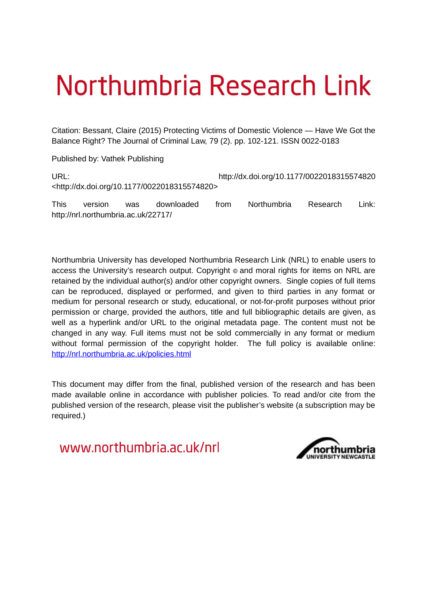# Northumbria Research Link

Citation: Bessant, Claire (2015) Protecting Victims of Domestic Violence — Have We Got the Balance Right? The Journal of Criminal Law, 79 (2). pp. 102-121. ISSN 0022-0183

Published by: Vathek Publishing

URL: http://dx.doi.org/10.1177/0022018315574820 <http://dx.doi.org/10.1177/0022018315574820>

This version was downloaded from Northumbria Research Link: http://nrl.northumbria.ac.uk/22717/

Northumbria University has developed Northumbria Research Link (NRL) to enable users to access the University's research output. Copyright  $\circ$  and moral rights for items on NRL are retained by the individual author(s) and/or other copyright owners. Single copies of full items can be reproduced, displayed or performed, and given to third parties in any format or medium for personal research or study, educational, or not-for-profit purposes without prior permission or charge, provided the authors, title and full bibliographic details are given, as well as a hyperlink and/or URL to the original metadata page. The content must not be changed in any way. Full items must not be sold commercially in any format or medium without formal permission of the copyright holder. The full policy is available online: <http://nrl.northumbria.ac.uk/policies.html>

This document may differ from the final, published version of the research and has been made available online in accordance with publisher policies. To read and/or cite from the published version of the research, please visit the publisher's website (a subscription may be required.)

<span id="page-0-3"></span><span id="page-0-2"></span><span id="page-0-1"></span><span id="page-0-0"></span>www.northumbria.ac.uk/nrl

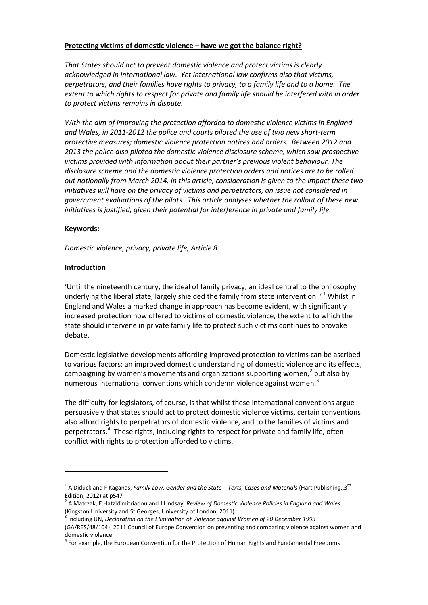## **Protecting victims of domestic violence – have we got the balance right?**

*That States should act to prevent domestic violence and protect victims is clearly acknowledged in international law. Yet international law confirms also that victims, perpetrators, and their families have rights to privacy, to a family life and to a home. The extent to which rights to respect for private and family life should be interfered with in order to protect victims remains in dispute.* 

*With the aim of improving the protection afforded to domestic violence victims in England and Wales, in 2011-2012 the police and courts piloted the use of two new short-term protective measures; domestic violence protection notices and orders. Between 2012 and 2013 the police also piloted the domestic violence disclosure scheme, which saw prospective victims provided with information about their partner's previous violent behaviour. The disclosure scheme and the domestic violence protection orders and notices are to be rolled out nationally from March 2014. In this article, consideration is given to the impact these two initiatives will have on the privacy of victims and perpetrators, an issue not considered in government evaluations of the pilots. This article analyses whether the rollout of these new initiatives is justified, given their potential for interference in private and family life.*

## **Keywords:**

*Domestic violence, privacy, private life, Article 8*

## **Introduction**

<span id="page-1-5"></span><span id="page-1-4"></span><span id="page-1-3"></span><span id="page-1-2"></span><span id="page-1-1"></span>-

'Until the nineteenth century, the ideal of family privacy, an ideal central to the philosophy underlying the liberal state, largely shielded the family from state intervention.<sup>'[1](#page-0-0)</sup> Whilst in England and Wales a marked change in approach has become evident, with significantly increased protection now offered to victims of domestic violence, the extent to which the state should intervene in private family life to protect such victims continues to provoke debate.

Domestic legislative developments affording improved protection to victims can be ascribed to various factors: an improved domestic understanding of domestic violence and its effects, campaigning by women's movements and organizations supporting women, $^2$  $^2$  but also by numerous international conventions which condemn violence against women.<sup>[3](#page-0-2)</sup>

<span id="page-1-0"></span>The difficulty for legislators, of course, is that whilst these international conventions argue persuasively that states should act to protect domestic violence victims, certain conventions also afford rights to perpetrators of domestic violence, and to the families of victims and perpetrators.<sup>[4](#page-0-3)</sup> These rights, including rights to respect for private and family life, often conflict with rights to protection afforded to victims.

<span id="page-1-10"></span><span id="page-1-9"></span>3 Including UN, *Declaration on the Elimination of Violence against Women of 20 December 1993* 

<span id="page-1-6"></span><sup>&</sup>lt;sup>1</sup> A Diduck and F Kaganas, *Family Law, Gender and the State – Texts, Cases and Materials* (Hart Publishing,,3<sup>rd</sup> Edition, 2012) at p547

<span id="page-1-8"></span><span id="page-1-7"></span><sup>2</sup> A Matczak, E Hatzidimitriadou and J Lindsay, *Review of Domestic Violence Policies in England and Wales*  (Kingston University and St Georges, University of London, 2011)

<span id="page-1-12"></span><span id="page-1-11"></span><sup>(</sup>GA/RES/48/104); 2011 Council of Europe Convention on preventing and combating violence against women and domestic violence

<sup>&</sup>lt;sup>4</sup> For example, the European Convention for the Protection of Human Rights and Fundamental Freedoms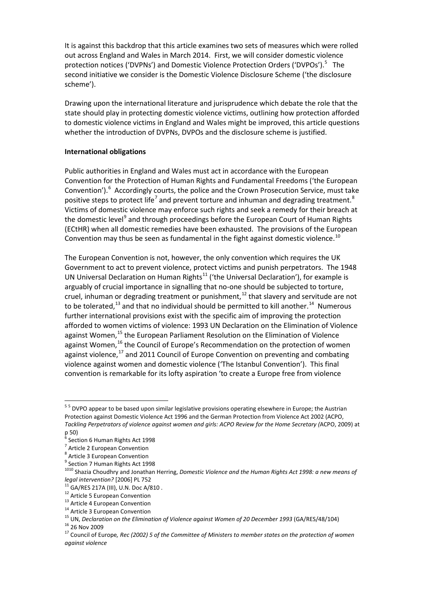It is against this backdrop that this article examines two sets of measures which were rolled out across England and Wales in March 2014. First, we will consider domestic violence protection notices ('DVPNs') and Domestic Violence Protection Orders ('DVPOs').<sup>[5](#page-1-0)</sup> The second initiative we consider is the Domestic Violence Disclosure Scheme ('the disclosure scheme').

Drawing upon the international literature and jurisprudence which debate the role that the state should play in protecting domestic violence victims, outlining how protection afforded to domestic violence victims in England and Wales might be improved, this article questions whether the introduction of DVPNs, DVPOs and the disclosure scheme is justified.

## **International obligations**

Public authorities in England and Wales must act in accordance with the European Convention for the Protection of Human Rights and Fundamental Freedoms ('the European Convention').<sup>[6](#page-1-1)</sup> Accordingly courts, the police and the Crown Prosecution Service, must take positive steps to protect life<sup>[7](#page-1-2)</sup> and prevent torture and inhuman and degrading treatment.<sup>[8](#page-1-3)</sup> Victims of domestic violence may enforce such rights and seek a remedy for their breach at the domestic level<sup>[9](#page-1-4)</sup> and through proceedings before the European Court of Human Rights (ECtHR) when all domestic remedies have been exhausted. The provisions of the European Convention may thus be seen as fundamental in the fight against domestic violence.<sup>[10](#page-1-5)</sup>

The European Convention is not, however, the only convention which requires the UK Government to act to prevent violence, protect victims and punish perpetrators. The 1948 UN Universal Declaration on Human Rights<sup>[11](#page-1-6)</sup> ('the Universal Declaration'), for example is arguably of crucial importance in signalling that no-one should be subjected to torture, cruel, inhuman or degrading treatment or punishment,<sup>[12](#page-1-7)</sup> that slavery and servitude are not to be tolerated,<sup>[13](#page-1-8)</sup> and that no individual should be permitted to kill another.<sup>[14](#page-1-9)</sup> Numerous further international provisions exist with the specific aim of improving the protection afforded to women victims of violence: 1993 UN Declaration on the Elimination of Violence against Women,<sup>[15](#page-1-10)</sup> the European Parliament Resolution on the Elimination of Violence against Women,<sup>[16](#page-1-11)</sup> the Council of Europe's Recommendation on the protection of women against violence,<sup>[17](#page-1-12)</sup> and 2011 Council of Europe Convention on preventing and combating violence against women and domestic violence ('The Istanbul Convention'). This final convention is remarkable for its lofty aspiration 'to create a Europe free from violence

<span id="page-2-1"></span><span id="page-2-0"></span><sup>&</sup>lt;sup>55</sup> DVPO appear to be based upon similar legislative provisions operating elsewhere in Europe; the Austrian Protection against Domestic Violence Act 1996 and the German Protection from Violence Act 2002 (ACPO, *Tackling Perpetrators of violence against women and girls: ACPO Review for the Home Secretary (*ACPO, 2009) at  $p_{50}$ 

<span id="page-2-2"></span>Section 6 Human Rights Act 1998

<span id="page-2-3"></span><sup>7</sup> Article 2 European Convention

<span id="page-2-4"></span><sup>8</sup> Article 3 European Convention

<sup>&</sup>lt;sup>9</sup> Section 7 Human Rights Act 1998

<sup>1010</sup> Shazia Choudhry and Jonathan Herring, *Domestic Violence and the Human Rights Act 1998: a new means of legal intervention?* [2006] PL 752

<span id="page-2-5"></span><sup>11</sup> GA/RES 217A (III), U.N. Doc A/810 .

<sup>&</sup>lt;sup>12</sup> Article 5 European Convention

<span id="page-2-6"></span><sup>13</sup> Article 4 European Convention

<span id="page-2-7"></span><sup>&</sup>lt;sup>14</sup> Article 3 European Convention

<sup>15</sup> UN, *Declaration on the Elimination of Violence against Women of 20 December 1993* (GA/RES/48/104) <sup>16</sup> 26 Nov 2009

<span id="page-2-8"></span><sup>17</sup> Council of Europe*, Rec (2002) 5 of the Committee of Ministers to member states on the protection of women against violence*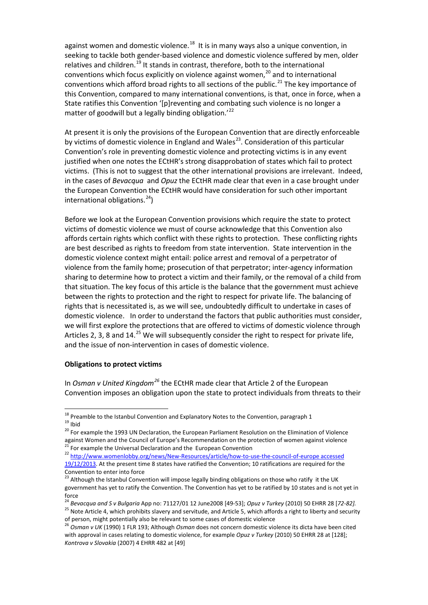against women and domestic violence.<sup>[18](#page-2-0)</sup> It is in many ways also a unique convention, in seeking to tackle both gender-based violence and domestic violence suffered by men, older relatives and children.<sup>[19](#page-2-1)</sup> It stands in contrast, therefore, both to the international conventions which focus explicitly on violence against women,<sup>[20](#page-2-2)</sup> and to international conventions which afford broad rights to all sections of the public.<sup>[21](#page-2-3)</sup> The key importance of this Convention, compared to many international conventions, is that, once in force, when a State ratifies this Convention '[p]reventing and combating such violence is no longer a matter of goodwill but a legally binding obligation.<sup>'[22](#page-2-4)</sup>

At present it is only the provisions of the European Convention that are directly enforceable by victims of domestic violence in England and Wales<sup>[23](#page-2-5)</sup>. Consideration of this particular Convention's role in preventing domestic violence and protecting victims is in any event justified when one notes the ECtHR's strong disapprobation of states which fail to protect victims. (This is not to suggest that the other international provisions are irrelevant. Indeed, in the cases of *Bevacqua* and *Opuz* the ECtHR made clear that even in a case brought under the European Convention the ECtHR would have consideration for such other important international obligations. $^{24}$  $^{24}$  $^{24}$ )

Before we look at the European Convention provisions which require the state to protect victims of domestic violence we must of course acknowledge that this Convention also affords certain rights which conflict with these rights to protection. These conflicting rights are best described as rights to freedom from state intervention. State intervention in the domestic violence context might entail: police arrest and removal of a perpetrator of violence from the family home; prosecution of that perpetrator; inter-agency information sharing to determine how to protect a victim and their family, or the removal of a child from that situation. The key focus of this article is the balance that the government must achieve between the rights to protection and the right to respect for private life. The balancing of rights that is necessitated is, as we will see, undoubtedly difficult to undertake in cases of domestic violence. In order to understand the factors that public authorities must consider, we will first explore the protections that are offered to victims of domestic violence through Articles 2, 3, 8 and  $14.^{25}$  $14.^{25}$  $14.^{25}$  We will subsequently consider the right to respect for private life, and the issue of non-intervention in cases of domestic violence.

#### **Obligations to protect victims**

-

In *Osman v United Kingdom[26](#page-2-8)* the ECtHR made clear that Article 2 of the European Convention imposes an obligation upon the state to protect individuals from threats to their

<span id="page-3-7"></span><span id="page-3-6"></span><sup>25</sup> Note Article 4, which prohibits slavery and servitude, and Article 5, which affords a right to liberty and security of person, might potentially also be relevant to some cases of domestic violence

 $^{18}$  Preamble to the Istanbul Convention and Explanatory Notes to the Convention, paragraph 1  $19$  Ibid

<span id="page-3-0"></span><sup>20</sup> For example the 1993 UN Declaration, the European Parliament Resolution on the Elimination of Violence against Women and the Council of Europe's Recommendation on the protection of women against violence  $21$  For example the Universal Declaration and the European Convention

<span id="page-3-3"></span><span id="page-3-2"></span><span id="page-3-1"></span><sup>22</sup> [http://www.womenlobby.org/news/New-Resources/article/how-to-use-the-council-of-europe accessed](http://www.womenlobby.org/news/New-Resources/article/how-to-use-the-council-of-europe%20accessed%2019/12/2013)  [19/12/2013.](http://www.womenlobby.org/news/New-Resources/article/how-to-use-the-council-of-europe%20accessed%2019/12/2013) At the present time 8 states have ratified the Convention; 10 ratifications are required for the Convention to enter into force

<span id="page-3-4"></span><sup>&</sup>lt;sup>23</sup> Although the Istanbul Convention will impose legally binding obligations on those who ratify it the UK government has yet to ratify the Convention. The Convention has yet to be ratified by 10 states and is not yet in force

<span id="page-3-5"></span><sup>24</sup> *Bevacqua and S v Bulgaria* App no: 71127/01 12 June2008 [49-53]; *Opuz v Turkey* (2010) 50 EHRR 28 [*72-82].* 

<span id="page-3-8"></span><sup>26</sup> *Osman v UK* (1990) 1 FLR 193; Although *Osman* does not concern domestic violence its dicta have been cited with approval in cases relating to domestic violence, for example *Opuz v Turkey* (2010) 50 EHRR 28 at [128]; *Kontrova v Slovakia* (2007) 4 EHRR 482 at [49]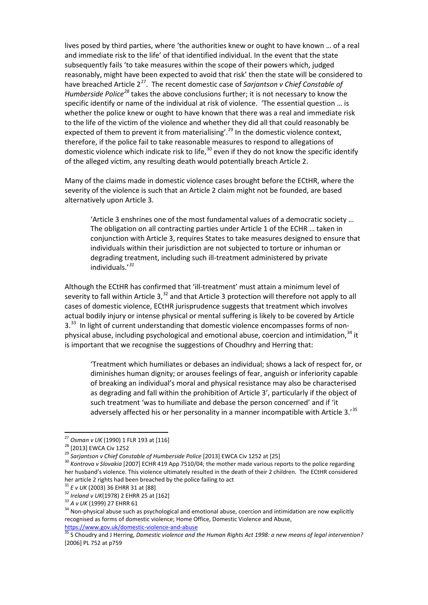lives posed by third parties, where 'the authorities knew or ought to have known … of a real and immediate risk to the life' of that identified individual. In the event that the state subsequently fails 'to take measures within the scope of their powers which, judged reasonably, might have been expected to avoid that risk' then the state will be considered to have breached Article 2[27](#page-3-0). The recent domestic case of *Sarjantson v Chief Constable of Humberside Police[28](#page-3-1)* takes the above conclusions further; it is not necessary to know the specific identify or name of the individual at risk of violence. 'The essential question … is whether the police knew or ought to have known that there was a real and immediate risk to the life of the victim of the violence and whether they did all that could reasonably be expected of them to prevent it from materialising'.<sup>[29](#page-3-2)</sup> In the domestic violence context, therefore, if the police fail to take reasonable measures to respond to allegations of domestic violence which indicate risk to life,<sup>[30](#page-3-3)</sup> even if they do not know the specific identify of the alleged victim, any resulting death would potentially breach Article 2.

Many of the claims made in domestic violence cases brought before the ECtHR, where the severity of the violence is such that an Article 2 claim might not be founded, are based alternatively upon Article 3.

'Article 3 enshrines one of the most fundamental values of a democratic society … The obligation on all contracting parties under Article 1 of the ECHR … taken in conjunction with Article 3, requires States to take measures designed to ensure that individuals within their jurisdiction are not subjected to torture or inhuman or degrading treatment, including such ill-treatment administered by private individuals.'*[31](#page-3-4)*

Although the ECtHR has confirmed that 'ill-treatment' must attain a minimum level of severity to fall within Article 3,<sup>[32](#page-3-5)</sup> and that Article 3 protection will therefore not apply to all cases of domestic violence, ECtHR jurisprudence suggests that treatment which involves actual bodily injury or intense physical or mental suffering is likely to be covered by Article 3.<sup>[33](#page-3-6)</sup> In light of current understanding that domestic violence encompasses forms of non-physical abuse, including psychological and emotional abuse, coercion and intimidation,<sup>[34](#page-3-7)</sup> it is important that we recognise the suggestions of Choudhry and Herring that:

'Treatment which humiliates or debases an individual; shows a lack of respect for, or diminishes human dignity; or arouses feelings of fear, anguish or inferiority capable of breaking an individual's moral and physical resistance may also be characterised as degrading and fall within the prohibition of Article 3', particularly if the object of such treatment 'was to humiliate and debase the person concerned' and if 'it adversely affected his or her personality in a manner incompatible with Article 3.<sup>1[35](#page-3-8)</sup>

<span id="page-4-2"></span><span id="page-4-1"></span><span id="page-4-0"></span><sup>27</sup> *Osman v UK* (1990) 1 FLR 193 at [116]

<sup>28</sup> [2013] EWCA Civ 1252

<sup>29</sup> *Sarjantson v Chief Constable of Humberside Police* [2013] EWCA Civ 1252 at [25]

<span id="page-4-4"></span><span id="page-4-3"></span><sup>30</sup> *Kontrova v Slovakia* [2007] ECHR 419 App 7510/04; the mother made various reports to the police regarding her husband's violence. This violence ultimately resulted in the death of their 2 children. The ECtHR considered her article 2 rights had been breached by the police failing to act

<sup>31</sup> *E v UK* (2003) 36 EHRR 31 at [88]

<sup>32</sup> *Ireland v UK*(1978) 2 EHRR 25 at [162]

<sup>33</sup> *A v UK* (1999) 27 EHRR 61

<sup>&</sup>lt;sup>34</sup> Non-physical abuse such as psychological and emotional abuse, coercion and intimidation are now explicitly recognised as forms of domestic violence; Home Office, Domestic Violence and Abuse, <https://www.gov.uk/domestic-violence-and-abuse>

<span id="page-4-5"></span><sup>35</sup> S Choudry and J Herring, *Domestic violence and the Human Rights Act 1998: a new means of legal intervention?* [2006] PL 752 at p759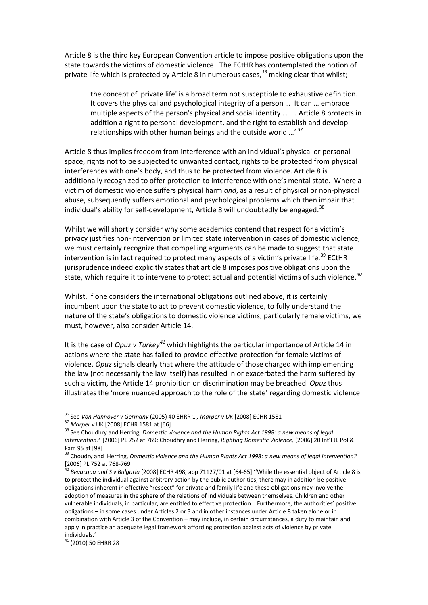Article 8 is the third key European Convention article to impose positive obligations upon the state towards the victims of domestic violence. The ECtHR has contemplated the notion of private life which is protected by Article 8 in numerous cases, *[36](#page-4-0)* making clear that whilst;

the concept of 'private life' is a broad term not susceptible to exhaustive definition. It covers the physical and psychological integrity of a person … It can … embrace multiple aspects of the person's physical and social identity … … Article 8 protects in addition a right to personal development, and the right to establish and develop relationships with other human beings and the outside world …' *[37](#page-4-1)*

Article 8 thus implies freedom from interference with an individual's physical or personal space, rights not to be subjected to unwanted contact, rights to be protected from physical interferences with one's body, and thus to be protected from violence. Article 8 is additionally recognized to offer protection to interference with one's mental state. Where a victim of domestic violence suffers physical harm *and*, as a result of physical or non-physical abuse, subsequently suffers emotional and psychological problems which then impair that individual's ability for self-development, Article 8 will undoubtedly be engaged.<sup>[38](#page-4-2)</sup>

Whilst we will shortly consider why some academics contend that respect for a victim's privacy justifies non-intervention or limited state intervention in cases of domestic violence, we must certainly recognize that compelling arguments can be made to suggest that state intervention is in fact required to protect many aspects of a victim's private life.<sup>[39](#page-4-3)</sup> ECtHR jurisprudence indeed explicitly states that article 8 imposes positive obligations upon the state, which require it to intervene to protect actual and potential victims of such violence. *[40](#page-4-4)*

Whilst, if one considers the international obligations outlined above, it is certainly incumbent upon the state to act to prevent domestic violence, to fully understand the nature of the state's obligations to domestic violence victims, particularly female victims, we must, however, also consider Article 14.

It is the case of *Opuz v Turkey[41](#page-4-5)* which highlights the particular importance of Article 14 in actions where the state has failed to provide effective protection for female victims of violence. *Opuz* signals clearly that where the attitude of those charged with implementing the law (not necessarily the law itself) has resulted in or exacerbated the harm suffered by such a victim, the Article 14 prohibition on discrimination may be breached. *Opuz* thus illustrates the 'more nuanced approach to the role of the state' regarding domestic violence

<span id="page-5-1"></span><span id="page-5-0"></span><sup>36</sup> See *Von Hannover v Germany* (2005) 40 EHRR 1 *, Marper v UK* [2008] ECHR 1581

<sup>37</sup> *Marper* v UK [2008] ECHR 1581 at [66]

<span id="page-5-3"></span><span id="page-5-2"></span><sup>&</sup>lt;sup>38</sup> See Choudhry and Herring, *Domestic violence and the Human Rights Act 1998: a new means of legal intervention?* [2006] PL 752 at 769; Choudhry and Herring, *Righting Domestic Violence,* (2006] 20 Int'l JL Pol & Fam 95 at [98]

<span id="page-5-4"></span><sup>39</sup> Choudry and Herring, *Domestic violence and the Human Rights Act 1998: a new means of legal intervention?* [2006] PL 752 at 768-769

<span id="page-5-7"></span><span id="page-5-6"></span><span id="page-5-5"></span><sup>40</sup> *Bevacqua and S v Bulgaria* [2008] ECHR 498, app 71127/01 at [64-65] ''While the essential object of Article 8 is to protect the individual against arbitrary action by the public authorities, there may in addition be positive obligations inherent in effective "respect" for private and family life and these obligations may involve the adoption of measures in the sphere of the relations of individuals between themselves. Children and other vulnerable individuals, in particular, are entitled to effective protection… Furthermore, the authorities' positive obligations – in some cases under Articles 2 or 3 and in other instances under Article 8 taken alone or in combination with Article 3 of the Convention – may include, in certain circumstances, a duty to maintain and apply in practice an adequate legal framework affording protection against acts of violence by private individuals.'

<sup>41</sup> (2010) 50 EHRR 28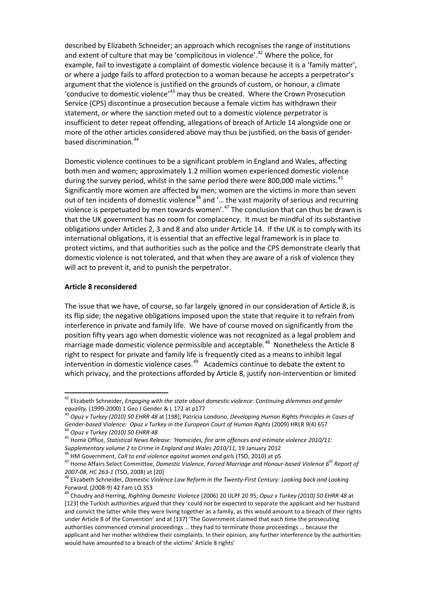described by Elizabeth Schneider; an approach which recognises the range of institutions and extent of culture that may be 'complicitous in violence'.<sup>[42](#page-5-0)</sup> Where the police, for example, fail to investigate a complaint of domestic violence because it is a 'family matter', or where a judge fails to afford protection to a woman because he accepts a perpetrator's argument that the violence is justified on the grounds of custom, or honour, a climate 'conducive to domestic violence'<sup>[43](#page-5-1)</sup> may thus be created. Where the Crown Prosecution Service (CPS) discontinue a prosecution because a female victim has withdrawn their statement, or where the sanction meted out to a domestic violence perpetrator is insufficient to deter repeat offending, allegations of breach of Article 14 alongside one or more of the other articles considered above may thus be justified, on the basis of gender-based discrimination.<sup>[44](#page-5-2)</sup>

Domestic violence continues to be a significant problem in England and Wales, affecting both men and women; approximately 1.2 million women experienced domestic violence during the survey period, whilst in the same period there were 800,000 male victims.<sup>[45](#page-5-3)</sup> Significantly more women are affected by men; women are the victims in more than seven out of ten incidents of domestic violence<sup>[46](#page-5-4)</sup> and '... the vast majority of serious and recurring violence is perpetuated by men towards women'. $47$  The conclusion that can thus be drawn is that the UK government has no room for complacency. It must be mindful of its substantive obligations under Articles 2, 3 and 8 and also under Article 14. If the UK is to comply with its international obligations, it is essential that an effective legal framework is in place to protect victims, and that authorities such as the police and the CPS demonstrate clearly that domestic violence is not tolerated, and that when they are aware of a risk of violence they will act to prevent it, and to punish the perpetrator.

#### **Article 8 reconsidered**

The issue that we have, of course, so far largely ignored in our consideration of Article 8, is its flip side; the negative obligations imposed upon the state that require it to refrain from interference in private and family life. We have of course moved on significantly from the position fifty years ago when domestic violence was not recognized as a legal problem and marriage made domestic violence permissible and acceptable.<sup>[48](#page-5-6)</sup> Nonetheless the Article 8 right to respect for private and family life is frequently cited as a means to inhibit legal intervention in domestic violence cases.<sup>[49](#page-5-7)</sup> Academics continue to debate the extent to which privacy, and the protections afforded by Article 8, justify non-intervention or limited

<u>.</u>

<sup>42</sup> Elizabeth Schneider, *Engaging with the state about domestic violence: Continuing dilemmas and gender equality,* (1999-2000) 1 Geo J Gender & L 172 at p177

<sup>43</sup> *Opuz v Turkey (2010) 50 EHRR 48* at [198]; Patricia Londono, *Developing Human Rights Principles in Cases of Gender-based Violence: Opuz v Turkey in the European Court of Human Rights* (2009) HRLR 9(4) 657

<sup>44</sup> *Opuz v Turkey (2010) 50 EHRR 48*

<span id="page-6-0"></span><sup>45</sup> Home Office, *Statistical News Release: 'Homicides, fire arm offences and intimate violence 2010/11: Supplementary volume 2 to Crime in England and Wales 2010/11,* 19 January 2012

<sup>46</sup> HM Government, *Call to end violence against women and girls* (TSO, 2010) at p5

<span id="page-6-1"></span><sup>47</sup> Home Affairs Select Committee, *Domestic Violence, Forced Marriage and Honour-based Violence 6th Report of 2007-08, HC 263-1* (TSO, 2008) at [20]

<sup>48</sup> Elizabeth Schneider, *Domestic Violence Law Reform in the Twenty-First Century: Looking back and Looking Forward,* (2008-9) 42 Fam LQ 353

<span id="page-6-8"></span><span id="page-6-7"></span><span id="page-6-6"></span><span id="page-6-5"></span><span id="page-6-4"></span><span id="page-6-3"></span><span id="page-6-2"></span><sup>49</sup> Choudry and Herring, *Righting Domestic Violence* (2006) 20 IJLPF 20 95; *Opuz v Turkey (2010) 50 EHRR 48* at [123] the Turkish authorities argued that they 'could not be expected to separate the applicant and her husband and convict the latter while they were living together as a family, as this would amount to a breach of their rights under Article 8 of the Convention' and at [137] 'The Government claimed that each time the prosecuting authorities commenced criminal proceedings … they had to terminate those proceedings … because the applicant and her mother withdrew their complaints. In their opinion, any further interference by the authorities would have amounted to a breach of the victims' Article 8 rights'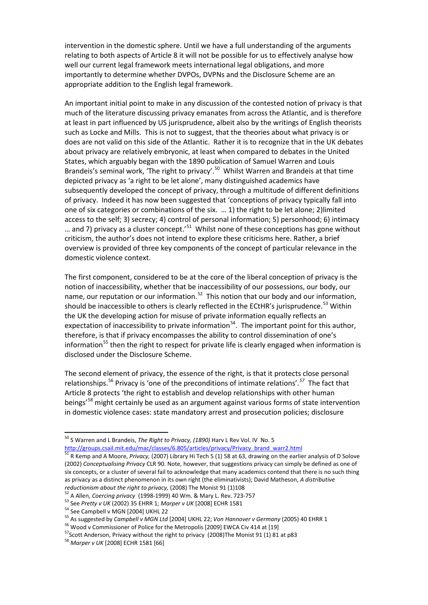intervention in the domestic sphere. Until we have a full understanding of the arguments relating to both aspects of Article 8 it will not be possible for us to effectively analyse how well our current legal framework meets international legal obligations, and more importantly to determine whether DVPOs, DVPNs and the Disclosure Scheme are an appropriate addition to the English legal framework.

An important initial point to make in any discussion of the contested notion of privacy is that much of the literature discussing privacy emanates from across the Atlantic, and is therefore at least in part influenced by US jurisprudence, albeit also by the writings of English theorists such as Locke and Mills. This is not to suggest, that the theories about what privacy is or does are not valid on this side of the Atlantic. Rather it is to recognize that in the UK debates about privacy are relatively embryonic, at least when compared to debates in the United States, which arguably began with the 1890 publication of Samuel Warren and Louis Brandeis's seminal work, 'The right to privacy'.<sup>[50](#page-6-0)</sup> Whilst Warren and Brandeis at that time depicted privacy as 'a right to be let alone', many distinguished academics have subsequently developed the concept of privacy, through a multitude of different definitions of privacy. Indeed it has now been suggested that 'conceptions of privacy typically fall into one of six categories or combinations of the six. … 1) the right to be let alone; 2)limited access to the self; 3) secrecy; 4) control of personal information; 5) personhood; 6) intimacy ... and 7) privacy as a cluster concept.'<sup>[51](#page-6-1)</sup> Whilst none of these conceptions has gone without criticism, the author's does not intend to explore these criticisms here. Rather, a brief overview is provided of three key components of the concept of particular relevance in the domestic violence context.

The first component, considered to be at the core of the liberal conception of privacy is the notion of inaccessibility, whether that be inaccessibility of our possessions, our body, our name, our reputation or our information.<sup>[52](#page-6-2)</sup> This notion that our body and our information, should be inaccessible to others is clearly reflected in the ECtHR's jurisprudence.<sup>[53](#page-6-3)</sup> Within the UK the developing action for misuse of private information equally reflects an expectation of inaccessibility to private information<sup>[54](#page-6-4)</sup>. The important point for this author, therefore, is that if privacy encompasses the ability to control dissemination of one's information<sup>[55](#page-6-5)</sup> then the right to respect for private life is clearly engaged when information is disclosed under the Disclosure Scheme.

The second element of privacy, the essence of the right, is that it protects close personal relationships.<sup>[56](#page-6-6)</sup> Privacy is 'one of the preconditions of intimate relations'.<sup>[57](#page-6-7)</sup> The fact that Article 8 protects 'the right to establish and develop relationships with other human beings<sup>1[58](#page-6-8)</sup> might certainly be used as an argument against various forms of state intervention in domestic violence cases: state mandatory arrest and prosecution policies; disclosure

<span id="page-7-4"></span><span id="page-7-3"></span><span id="page-7-2"></span><span id="page-7-1"></span><span id="page-7-0"></span><sup>50</sup> S Warren and L Brandeis, *The Right to Privacy, (1890)* Harv L Rev Vol. IV No. 5 http://groups.csail.mit.edu/mac/classes/6.805/articles/privacy/Privacy\_brand\_warr2.html<br>51 p.v.

<sup>51</sup> R Kemp and A Moore, *Privacy,* (2007) Library Hi Tech 5 (1) 58 at 63, drawing on the earlier analysis of D Solove (2002) *Conceptualising Privacy* CLR 90. Note, however, that suggestions privacy can simply be defined as one of six concepts, or a cluster of several fail to acknowledge that many academics contend that there is no such thing as privacy as a distinct phenomenon in its own right (the eliminativists); David Matheson, *A distributive reductionism about the right to privacy,* (2008) The Monist 91 (1)108

<span id="page-7-5"></span><sup>52</sup> A Allen, *Coercing privacy* (1998-1999) 40 Wm. & Mary L. Rev. 723-757

<span id="page-7-6"></span><sup>53</sup> See *Pretty v UK* (2002) 35 EHRR 1; *Marper v UK* [2008] ECHR 1581

<sup>54</sup> See Campbell v MGN [2004] UKHL 22

<span id="page-7-7"></span><sup>55</sup> As suggested by *Campbell v MGN Ltd* [2004] UKHL 22; *Von Hannover v Germany* (2005) 40 EHRR 1

<sup>56</sup> Wood v Commissioner of Police for the Metropolis [2009] EWCA Civ 414 at [19]

<span id="page-7-9"></span><span id="page-7-8"></span> $57$ Scott Anderson, Privacy without the right to privacy (2008)The Monist 91 (1) 81 at p83

<sup>58</sup> *Marper v UK* [2008] ECHR 1581 [66]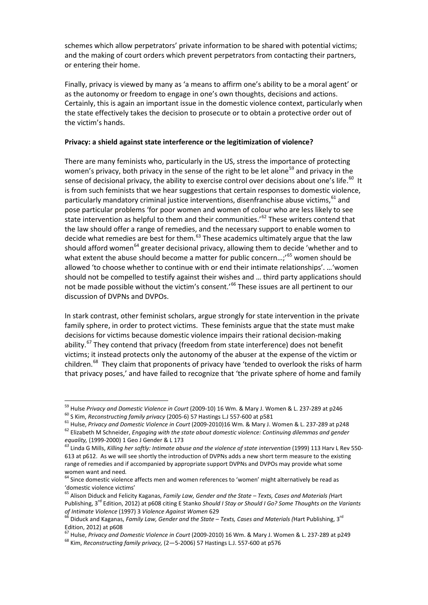schemes which allow perpetrators' private information to be shared with potential victims; and the making of court orders which prevent perpetrators from contacting their partners, or entering their home.

Finally, privacy is viewed by many as 'a means to affirm one's ability to be a moral agent' or as the autonomy or freedom to engage in one's own thoughts, decisions and actions. Certainly, this is again an important issue in the domestic violence context, particularly when the state effectively takes the decision to prosecute or to obtain a protective order out of the victim's hands.

### **Privacy: a shield against state interference or the legitimization of violence?**

There are many feminists who, particularly in the US, stress the importance of protecting women's privacy, both privacy in the sense of the right to be let alone<sup>[59](#page-7-0)</sup> and privacy in the sense of decisional privacy, the ability to exercise control over decisions about one's life.<sup>[60](#page-7-1)</sup> It is from such feminists that we hear suggestions that certain responses to domestic violence, particularly mandatory criminal justice interventions, disenfranchise abuse victims, <sup>[61](#page-7-2)</sup> and pose particular problems 'for poor women and women of colour who are less likely to see state intervention as helpful to them and their communities.<sup>'[62](#page-7-3)</sup> These writers contend that the law should offer a range of remedies, and the necessary support to enable women to decide what remedies are best for them.<sup>[63](#page-7-4)</sup> These academics ultimately argue that the law should afford women<sup>[64](#page-7-5)</sup> greater decisional privacy, allowing them to decide 'whether and to what extent the abuse should become a matter for public concern...;<sup>[65](#page-7-6)</sup> women should be allowed 'to choose whether to continue with or end their intimate relationships'. …'women should not be compelled to testify against their wishes and … third party applications should not be made possible without the victim's consent.<sup>'[66](#page-7-7)</sup> These issues are all pertinent to our discussion of DVPNs and DVPOs.

In stark contrast, other feminist scholars, argue strongly for state intervention in the private family sphere, in order to protect victims. These feminists argue that the state must make decisions for victims because domestic violence impairs their rational decision-making ability.<sup>[67](#page-7-8)</sup> They contend that privacy (freedom from state interference) does not benefit victims; it instead protects only the autonomy of the abuser at the expense of the victim or children.<sup>[68](#page-7-9)</sup> They claim that proponents of privacy have 'tended to overlook the risks of harm that privacy poses,' and have failed to recognize that 'the private sphere of home and family

<sup>59</sup> Hulse *Privacy and Domestic Violence in Court* (2009-10) 16 Wm. & Mary J. Women & L. 237-289 at p246 <sup>60</sup> S Kim, *Reconstructing family privacy* (2005-6) 57 Hastings L.J 557-600 at p581

<sup>61</sup> Hulse, *Privacy and Domestic Violence in Court* (2009-2010)16 Wm. & Mary J. Women & L. 237-289 at p248 <sup>62</sup> Elizabeth M Schneider, *Engaging with the state about domestic violence: Continuing dilemmas and gender equality,* (1999-2000) 1 Geo J Gender & L 173

<sup>&</sup>lt;sup>63</sup> Linda G Mills, *Killing her softly: Intimate abuse and the violence of state intervention (1999) 113 Harv L Rev 550-*613 at p612. As we will see shortly the introduction of DVPNs adds a new short term measure to the existing range of remedies and if accompanied by appropriate support DVPNs and DVPOs may provide what some women want and need*.* 

<span id="page-8-1"></span><span id="page-8-0"></span> $64$  Since domestic violence affects men and women references to 'women' might alternatively be read as 'domestic violence victims'

<span id="page-8-2"></span><sup>65</sup> Alison Diduck and Felicity Kaganas, *Family Law, Gender and the State – Texts, Cases and Materials (*Hart Publishing, 3rd Edition, 2012) at p608 citing E Stanko *Should I Stay or Should I Go? Some Thoughts on the Variants of Intimate Violence* (1997) 3 *Violence Against Women* 629

<span id="page-8-4"></span><span id="page-8-3"></span><sup>66</sup> Diduck and Kaganas, *Family Law, Gender and the State – Texts, Cases and Materials (*Hart Publishing, 3rd Edition, 2012) at p608

<span id="page-8-6"></span><span id="page-8-5"></span><sup>67</sup> Hulse, *Privacy and Domestic Violence in Court* (2009-2010) 16 Wm. & Mary J. Women & L. 237-289 at p249 <sup>68</sup> Kim, *Reconstructing family privacy,* (2—5-2006) 57 Hastings L.J. 557-600 at p576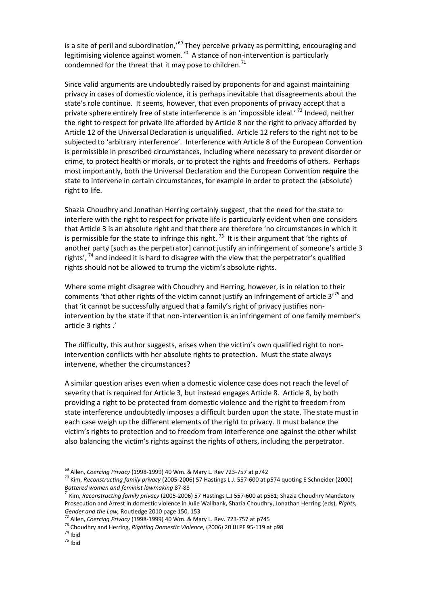is a site of peril and subordination,<sup>[69](#page-8-0)</sup> They perceive privacy as permitting, encouraging and legitimising violence against women.<sup>[70](#page-8-1)</sup> A stance of non-intervention is particularly condemned for the threat that it may pose to children.<sup>[71](#page-8-2)</sup>

Since valid arguments are undoubtedly raised by proponents for and against maintaining privacy in cases of domestic violence, it is perhaps inevitable that disagreements about the state's role continue. It seems, however, that even proponents of privacy accept that a private sphere entirely free of state interference is an 'impossible ideal.' <sup>72</sup> Indeed, neither the right to respect for private life afforded by Article 8 nor the right to privacy afforded by Article 12 of the Universal Declaration is unqualified. Article 12 refers to the right not to be subjected to 'arbitrary interference'. Interference with Article 8 of the European Convention is permissible in prescribed circumstances, including where necessary to prevent disorder or crime, to protect health or morals, or to protect the rights and freedoms of others. Perhaps most importantly, both the Universal Declaration and the European Convention **require** the state to intervene in certain circumstances, for example in order to protect the (absolute) right to life.

Shazia Choudhry and Jonathan Herring certainly suggest¸ that the need for the state to interfere with the right to respect for private life is particularly evident when one considers that Article 3 is an absolute right and that there are therefore 'no circumstances in which it is permissible for the state to infringe this right.<sup>[73](#page-8-4)</sup> It is their argument that 'the rights of another party [such as the perpetrator] cannot justify an infringement of someone's article 3 rights',  $74$  and indeed it is hard to disagree with the view that the perpetrator's qualified rights should not be allowed to trump the victim's absolute rights.

Where some might disagree with Choudhry and Herring, however, is in relation to their comments 'that other rights of the victim cannot justify an infringement of article  $3^{75}$  $3^{75}$  $3^{75}$  and that 'it cannot be successfully argued that a family's right of privacy justifies nonintervention by the state if that non-intervention is an infringement of one family member's article 3 rights .'

The difficulty, this author suggests, arises when the victim's own qualified right to nonintervention conflicts with her absolute rights to protection. Must the state always intervene, whether the circumstances?

A similar question arises even when a domestic violence case does not reach the level of severity that is required for Article 3, but instead engages Article 8. Article 8, by both providing a right to be protected from domestic violence and the right to freedom from state interference undoubtedly imposes a difficult burden upon the state. The state must in each case weigh up the different elements of the right to privacy. It must balance the victim's rights to protection and to freedom from interference one against the other whilst also balancing the victim's rights against the rights of others, including the perpetrator.

<sup>72</sup> Allen, *Coercing Privacy* (1998-1999) 40 Wm. & Mary L. Rev. 723-757 at p745

<span id="page-9-4"></span><span id="page-9-3"></span><sup>73</sup> Choudhry and Herring, *Righting Domestic Violence*, (2006) 20 IJLPF 95-119 at p98

<span id="page-9-5"></span> $74$  Ibid

<u>.</u>

<sup>69</sup> Allen, *Coercing Privacy* (1998-1999) 40 Wm. & Mary L. Rev 723-757 at p742

<sup>70</sup> Kim, *Reconstructing family privacy* (2005-2006) 57 Hastings L.J. 557-600 at p574 quoting E Schneider (2000) *Battered women and feminist lawmaking* 87-88

<span id="page-9-2"></span><span id="page-9-1"></span><span id="page-9-0"></span><sup>71</sup>Kim, *Reconstructing family privacy* (2005-2006) 57 Hastings L.J 557-600 at p581; Shazia Choudhry Mandatory Prosecution and Arrest in domestic violence in Julie Wallbank, Shazia Choudhry, Jonathan Herring (eds), *Rights, Gender and the Law,* Routledge 2010 page 150, 153

<span id="page-9-6"></span> $75$  Ibid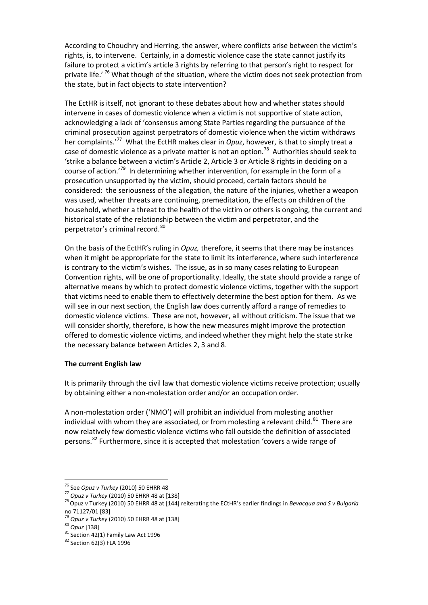According to Choudhry and Herring, the answer, where conflicts arise between the victim's rights, is, to intervene. Certainly, in a domestic violence case the state cannot justify its failure to protect a victim's article 3 rights by referring to that person's right to respect for private life.' <sup>[76](#page-9-0)</sup> What though of the situation, where the victim does not seek protection from the state, but in fact objects to state intervention?

The EctHR is itself, not ignorant to these debates about how and whether states should intervene in cases of domestic violence when a victim is not supportive of state action, acknowledging a lack of 'consensus among State Parties regarding the pursuance of the criminal prosecution against perpetrators of domestic violence when the victim withdraws her complaints.<sup>'[77](#page-9-1)</sup> What the EctHR makes clear in *Opuz*, however, is that to simply treat a case of domestic violence as a private matter is not an option.<sup>[78](#page-9-2)</sup> Authorities should seek to 'strike a balance between a victim's Article 2, Article 3 or Article 8 rights in deciding on a course of action.'<sup>[79](#page-9-3)</sup> In determining whether intervention, for example in the form of a prosecution unsupported by the victim, should proceed, certain factors should be considered: the seriousness of the allegation, the nature of the injuries, whether a weapon was used, whether threats are continuing, premeditation, the effects on children of the household, whether a threat to the health of the victim or others is ongoing, the current and historical state of the relationship between the victim and perpetrator, and the perpetrator's criminal record.<sup>[80](#page-9-4)</sup>

On the basis of the EctHR's ruling in *Opuz,* therefore, it seems that there may be instances when it might be appropriate for the state to limit its interference, where such interference is contrary to the victim's wishes. The issue, as in so many cases relating to European Convention rights, will be one of proportionality. Ideally, the state should provide a range of alternative means by which to protect domestic violence victims, together with the support that victims need to enable them to effectively determine the best option for them. As we will see in our next section, the English law does currently afford a range of remedies to domestic violence victims. These are not, however, all without criticism. The issue that we will consider shortly, therefore, is how the new measures might improve the protection offered to domestic violence victims, and indeed whether they might help the state strike the necessary balance between Articles 2, 3 and 8.

## **The current English law**

It is primarily through the civil law that domestic violence victims receive protection; usually by obtaining either a non-molestation order and/or an occupation order.

<span id="page-10-0"></span>A non-molestation order ('NMO') will prohibit an individual from molesting another individual with whom they are associated, or from molesting a relevant child.<sup>[81](#page-9-5)</sup> There are now relatively few domestic violence victims who fall outside the definition of associated persons.<sup>[82](#page-9-6)</sup> Furthermore, since it is accepted that molestation 'covers a wide range of

<span id="page-10-3"></span><span id="page-10-2"></span><span id="page-10-1"></span><sup>76</sup> See *Opuz v Turkey* (2010) 50 EHRR 48

<sup>77</sup> *Opuz v Turkey* (2010) 50 EHRR 48 at [138]

<span id="page-10-6"></span><span id="page-10-5"></span><span id="page-10-4"></span><sup>78</sup>Opuz v Turkey (2010) 50 EHRR 48 at [144] reiterating the ECtHR's earlier findings in *Bevacqua and S v Bulgaria*  no 71127/01 [83]

<sup>79</sup> *Opuz v Turkey* (2010) 50 EHRR 48 at [138]

<sup>80</sup> *Opuz* [138]

 $81$  Section 42(1) Family Law Act 1996

<sup>&</sup>lt;sup>82</sup> Section 62(3) FLA 1996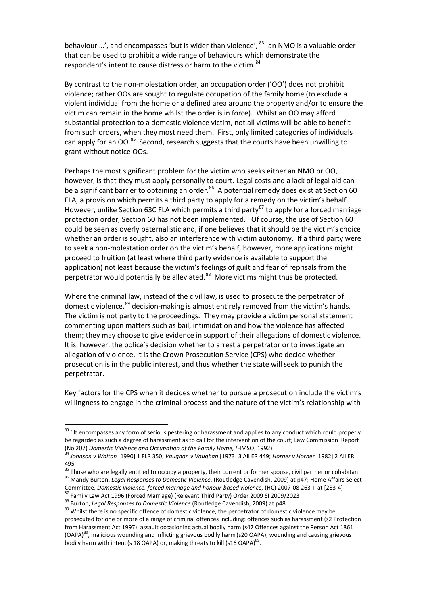behaviour ...', and encompasses 'but is wider than violence',  $^{83}$  an NMO is a valuable order that can be used to prohibit a wide range of behaviours which demonstrate the respondent's intent to cause distress or harm to the victim.<sup>[84](#page-10-1)</sup>

By contrast to the non-molestation order, an occupation order ('OO') does not prohibit violence; rather OOs are sought to regulate occupation of the family home (to exclude a violent individual from the home or a defined area around the property and/or to ensure the victim can remain in the home whilst the order is in force). Whilst an OO may afford substantial protection to a domestic violence victim, not all victims will be able to benefit from such orders, when they most need them. First, only limited categories of individuals can apply for an OO.<sup>[85](#page-10-2)</sup> Second, research suggests that the courts have been unwilling to grant without notice OOs.

Perhaps the most significant problem for the victim who seeks either an NMO or OO, however, is that they must apply personally to court. Legal costs and a lack of legal aid can be a significant barrier to obtaining an order.<sup>[86](#page-10-3)</sup> A potential remedy does exist at Section 60 FLA, a provision which permits a third party to apply for a remedy on the victim's behalf. However, unlike Section 63C FLA which permits a third party<sup>[87](#page-10-4)</sup> to apply for a forced marriage protection order, Section 60 has not been implemented. Of course, the use of Section 60 could be seen as overly paternalistic and, if one believes that it should be the victim's choice whether an order is sought, also an interference with victim autonomy. If a third party were to seek a non-molestation order on the victim's behalf, however, more applications might proceed to fruition (at least where third party evidence is available to support the application) not least because the victim's feelings of guilt and fear of reprisals from the perpetrator would potentially be alleviated.<sup>[88](#page-10-5)</sup> More victims might thus be protected.

Where the criminal law, instead of the civil law, is used to prosecute the perpetrator of domestic violence,<sup>[89](#page-10-6)</sup> decision-making is almost entirely removed from the victim's hands. The victim is not party to the proceedings. They may provide a victim personal statement commenting upon matters such as bail, intimidation and how the violence has affected them; they may choose to give evidence in support of their allegations of domestic violence. It is, however, the police's decision whether to arrest a perpetrator or to investigate an allegation of violence. It is the Crown Prosecution Service (CPS) who decide whether prosecution is in the public interest, and thus whether the state will seek to punish the perpetrator.

Key factors for the CPS when it decides whether to pursue a prosecution include the victim's willingness to engage in the criminal process and the nature of the victim's relationship with

.<br>-

<span id="page-11-1"></span><span id="page-11-0"></span><sup>&</sup>lt;sup>83</sup> ' It encompasses any form of serious pestering or harassment and applies to any conduct which could properly be regarded as such a degree of harassment as to call for the intervention of the court; Law Commission Report (No 207) *Domestic Violence and Occupation of the Family Home, (*HMSO, 1992)

<span id="page-11-2"></span><sup>84</sup> *Johnson v Walton* [1990] 1 FLR 350, *Vaughan v Vaughan* [1973] 3 All ER 449; *Horner v Horner* [1982] 2 All ER 495

<span id="page-11-3"></span> $85$  Those who are legally entitled to occupy a property, their current or former spouse, civil partner or cohabitant <sup>86</sup> Mandy Burton, *Legal Responses to Domestic Violence*, (Routledge Cavendish, 2009) at p47; Home Affairs Select Committee, *Domestic violence, forced marriage and honour-based violence,* (HC) 2007-08 263-II at [283-4]

<sup>87</sup> Family Law Act 1996 (Forced Marriage) (Relevant Third Party) Order 2009 SI 2009/2023

<span id="page-11-4"></span><sup>88</sup> Burton, *Legal Responses to Domestic Violence* (Routledge Cavendish, 2009) at p48

<span id="page-11-6"></span><span id="page-11-5"></span><sup>&</sup>lt;sup>89</sup> Whilst there is no specific offence of domestic violence, the perpetrator of domestic violence may be prosecuted for one or more of a range of criminal offences including: offences such as harassment (s2 Protection from Harassment Act 1997); assault occasioning actual bodily harm (s47 Offences against the Person Act 1861 (OAPA) $^{89}$ , malicious wounding and inflicting grievous bodily harm (s20 OAPA), wounding and causing grievous bodily harm with intent (s 18 OAPA) or, making threats to kill (s16 OAPA)<sup>89</sup>.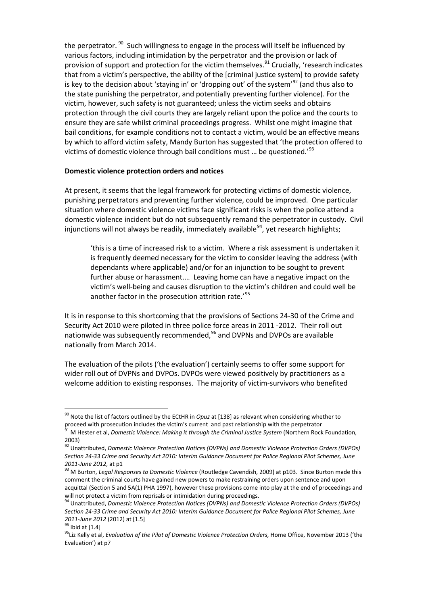the perpetrator. <sup>[90](#page-11-0)</sup> Such willingness to engage in the process will itself be influenced by various factors, including intimidation by the perpetrator and the provision or lack of provision of support and protection for the victim themselves.<sup>[91](#page-11-1)</sup> Crucially, 'research indicates that from a victim's perspective, the ability of the [criminal justice system] to provide safety is key to the decision about 'staying in' or 'dropping out' of the system'<sup>[92](#page-11-2)</sup> (and thus also to the state punishing the perpetrator, and potentially preventing further violence). For the victim, however, such safety is not guaranteed; unless the victim seeks and obtains protection through the civil courts they are largely reliant upon the police and the courts to ensure they are safe whilst criminal proceedings progress. Whilst one might imagine that bail conditions, for example conditions not to contact a victim, would be an effective means by which to afford victim safety, Mandy Burton has suggested that 'the protection offered to victims of domestic violence through bail conditions must ... be questioned.<sup>'[93](#page-11-3)</sup>

#### **Domestic violence protection orders and notices**

At present, it seems that the legal framework for protecting victims of domestic violence, punishing perpetrators and preventing further violence, could be improved. One particular situation where domestic violence victims face significant risks is when the police attend a domestic violence incident but do not subsequently remand the perpetrator in custody. Civil injunctions will not always be readily, immediately available  $94$ , yet research highlights;

'this is a time of increased risk to a victim. Where a risk assessment is undertaken it is frequently deemed necessary for the victim to consider leaving the address (with dependants where applicable) and/or for an injunction to be sought to prevent further abuse or harassment.… Leaving home can have a negative impact on the victim's well-being and causes disruption to the victim's children and could well be another factor in the prosecution attrition rate.'<sup>[95](#page-11-5)</sup>

It is in response to this shortcoming that the provisions of Sections 24-30 of the Crime and Security Act 2010 were piloted in three police force areas in 2011 -2012. Their roll out nationwide was subsequently recommended,<sup>[96](#page-11-6)</sup> and DVPNs and DVPOs are available nationally from March 2014.

The evaluation of the pilots ('the evaluation') certainly seems to offer some support for wider roll out of DVPNs and DVPOs. DVPOs were viewed positively by practitioners as a welcome addition to existing responses. The majority of victim-survivors who benefited

<sup>90</sup> Note the list of factors outlined by the ECtHR in *Opuz* at [138] as relevant when considering whether to proceed with prosecution includes the victim's current and past relationship with the perpetrator

<span id="page-12-0"></span><sup>&</sup>lt;sup>91</sup> M Hester et al, *Domestic Violence: Making it through the Criminal Justice System (Northern Rock Foundation,* 2003)

<span id="page-12-1"></span><sup>92</sup> Unattributed, *Domestic Violence Protection Notices (DVPNs) and Domestic Violence Protection Orders (DVPOs) Section 24-33 Crime and Security Act 2010: Interim Guidance Document for Police Regional Pilot Schemes, June 2011-June 2012*, at p1

<span id="page-12-2"></span><sup>93</sup> M Burton, *Legal Responses to Domestic Violence* (Routledge Cavendish, 2009) at p103. Since Burton made this comment the criminal courts have gained new powers to make restraining orders upon sentence and upon acquittal (Section 5 and 5A(1) PHA 1997), however these provisions come into play at the end of proceedings and will not protect a victim from reprisals or intimidation during proceedings.

<span id="page-12-4"></span><span id="page-12-3"></span><sup>94</sup> Unattributed, *Domestic Violence Protection Notices (DVPNs) and Domestic Violence Protection Orders (DVPOs) Section 24-33 Crime and Security Act 2010: Interim Guidance Document for Police Regional Pilot Schemes, June 2011-June 2012* (2012) at [1.5]

<span id="page-12-5"></span> $\overline{95}$  Ibid at [1.4]

<span id="page-12-7"></span><span id="page-12-6"></span><sup>&</sup>lt;sup>96</sup>Liz Kelly et al, *Evaluation of the Pilot of Domestic Violence Protection Orders,* Home Office, November 2013 ('the Evaluation') at p7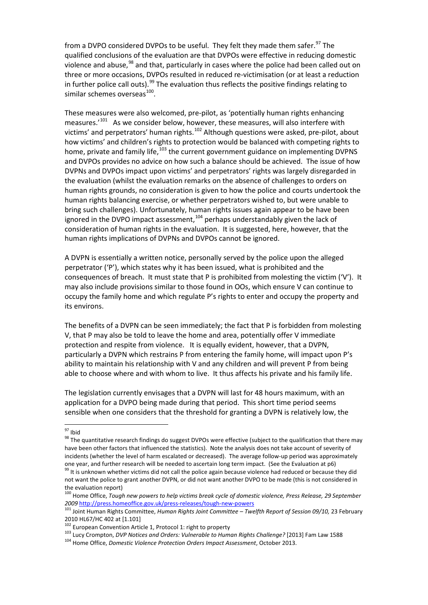from a DVPO considered DVPOs to be useful. They felt they made them safer.<sup>[97](#page-12-0)</sup> The qualified conclusions of the evaluation are that DVPOs were effective in reducing domestic violence and abuse,<sup>[98](#page-12-1)</sup> and that, particularly in cases where the police had been called out on three or more occasions, DVPOs resulted in reduced re-victimisation (or at least a reduction in further police call outs).<sup>[99](#page-12-2)</sup> The evaluation thus reflects the positive findings relating to similar schemes overseas<sup>[100](#page-12-3)</sup>.

These measures were also welcomed, pre-pilot, as 'potentially human rights enhancing measures.<sup>'[101](#page-12-4)</sup> As we consider below, however, these measures, will also interfere with victims' and perpetrators' human rights.<sup>[102](#page-12-5)</sup> Although questions were asked, pre-pilot, about how victims' and children's rights to protection would be balanced with competing rights to home, private and family life,<sup>[103](#page-12-6)</sup> the current government guidance on implementing DVPNS and DVPOs provides no advice on how such a balance should be achieved. The issue of how DVPNs and DVPOs impact upon victims' and perpetrators' rights was largely disregarded in the evaluation (whilst the evaluation remarks on the absence of challenges to orders on human rights grounds, no consideration is given to how the police and courts undertook the human rights balancing exercise, or whether perpetrators wished to, but were unable to bring such challenges). Unfortunately, human rights issues again appear to be have been ignored in the DVPO impact assessment, $104$  perhaps understandably given the lack of consideration of human rights in the evaluation. It is suggested, here, however, that the human rights implications of DVPNs and DVPOs cannot be ignored.

A DVPN is essentially a written notice, personally served by the police upon the alleged perpetrator ('P'), which states why it has been issued, what is prohibited and the consequences of breach. It must state that P is prohibited from molesting the victim ('V'). It may also include provisions similar to those found in OOs, which ensure V can continue to occupy the family home and which regulate P's rights to enter and occupy the property and its environs.

The benefits of a DVPN can be seen immediately; the fact that P is forbidden from molesting V, that P may also be told to leave the home and area, potentially offer V immediate protection and respite from violence. It is equally evident, however, that a DVPN, particularly a DVPN which restrains P from entering the family home, will impact upon P's ability to maintain his relationship with V and any children and will prevent P from being able to choose where and with whom to live. It thus affects his private and his family life.

The legislation currently envisages that a DVPN will last for 48 hours maximum, with an application for a DVPO being made during that period. This short time period seems sensible when one considers that the threshold for granting a DVPN is relatively low, the

.<br>-

<sup>&</sup>lt;sup>97</sup> Ibid

<span id="page-13-0"></span><sup>98</sup> The quantitative research findings do suggest DVPOs were effective (subject to the qualification that there may have been other factors that influenced the statistics). Note the analysis does not take account of severity of incidents (whether the level of harm escalated or decreased). The average follow-up period was approximately one year, and further research will be needed to ascertain long term impact. (See the Evaluation at p6)

<span id="page-13-2"></span><span id="page-13-1"></span><sup>99</sup> It is unknown whether victims did not call the police again because violence had reduced or because they did not want the police to grant another DVPN, or did not want another DVPO to be made (this is not considered in the evaluation report)

<span id="page-13-3"></span><sup>100</sup> Home Office, *Tough new powers to help victims break cycle of domestic violence, Press Release, 29 September 2009* <http://press.homeoffice.gov.uk/press-releases/tough-new-powers>

<span id="page-13-5"></span><span id="page-13-4"></span><sup>&</sup>lt;sup>101</sup> Joint Human Rights Committee, *Human Rights Joint Committee – Twelfth Report of Session 09/10, 23 February* 2010 HL67/HC 402 at [1.101]

<sup>&</sup>lt;sup>102</sup> European Convention Article 1, Protocol 1: right to property

<span id="page-13-7"></span><span id="page-13-6"></span><sup>103</sup> Lucy Crompton, *DVP Notices and Orders: Vulnerable to Human Rights Challenge?* [2013] Fam Law 1588 <sup>104</sup> Home Office, *Domestic Violence Protection Orders Impact Assessment*, October 2013.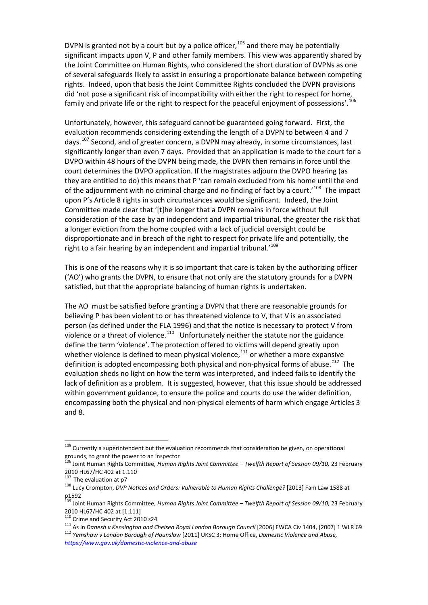DVPN is granted not by a court but by a police officer,  $105$  and there may be potentially significant impacts upon V, P and other family members. This view was apparently shared by the Joint Committee on Human Rights, who considered the short duration of DVPNs as one of several safeguards likely to assist in ensuring a proportionate balance between competing rights. Indeed, upon that basis the Joint Committee Rights concluded the DVPN provisions did 'not pose a significant risk of incompatibility with either the right to respect for home, family and private life or the right to respect for the peaceful enjoyment of possessions'.<sup>[106](#page-13-1)</sup>

Unfortunately, however, this safeguard cannot be guaranteed going forward. First, the evaluation recommends considering extending the length of a DVPN to between 4 and 7 days.<sup>[107](#page-13-2)</sup> Second, and of greater concern, a DVPN may already, in some circumstances, last significantly longer than even 7 days. Provided that an application is made to the court for a DVPO within 48 hours of the DVPN being made, the DVPN then remains in force until the court determines the DVPO application. If the magistrates adjourn the DVPO hearing (as they are entitled to do) this means that P 'can remain excluded from his home until the end of the adjournment with no criminal charge and no finding of fact by a court.'<sup>[108](#page-13-3)</sup> The impact upon P's Article 8 rights in such circumstances would be significant. Indeed, the Joint Committee made clear that '[t]he longer that a DVPN remains in force without full consideration of the case by an independent and impartial tribunal, the greater the risk that a longer eviction from the home coupled with a lack of judicial oversight could be disproportionate and in breach of the right to respect for private life and potentially, the right to a fair hearing by an independent and impartial tribunal.' $^{109}$  $^{109}$  $^{109}$ 

This is one of the reasons why it is so important that care is taken by the authorizing officer ('AO') who grants the DVPN, to ensure that not only are the statutory grounds for a DVPN satisfied, but that the appropriate balancing of human rights is undertaken.

The AO must be satisfied before granting a DVPN that there are reasonable grounds for believing P has been violent to or has threatened violence to V, that V is an associated person (as defined under the FLA 1996) and that the notice is necessary to protect V from violence or a threat of violence. $^{110}$  $^{110}$  $^{110}$  Unfortunately neither the statute nor the guidance define the term 'violence'. The protection offered to victims will depend greatly upon whether violence is defined to mean physical violence,<sup>[111](#page-13-6)</sup> or whether a more expansive definition is adopted encompassing both physical and non-physical forms of abuse. *[112](#page-13-7)* The evaluation sheds no light on how the term was interpreted, and indeed fails to identify the lack of definition as a problem. It is suggested, however, that this issue should be addressed within government guidance, to ensure the police and courts do use the wider definition, encompassing both the physical and non-physical elements of harm which engage Articles 3 and 8.

.<br>-

<sup>&</sup>lt;sup>105</sup> Currently a superintendent but the evaluation recommends that consideration be given, on operational grounds, to grant the power to an inspector

<span id="page-14-1"></span><span id="page-14-0"></span><sup>&</sup>lt;sup>106</sup> Joint Human Rights Committee, *Human Rights Joint Committee – Twelfth Report of Session 09/10, 23 February* 2010 HL67/HC 402 at 1.110

<span id="page-14-2"></span><sup>&</sup>lt;sup>107</sup> The evaluation at p7

<sup>108</sup> Lucy Crompton, *DVP Notices and Orders: Vulnerable to Human Rights Challenge?* [2013] Fam Law 1588 at p1592

<span id="page-14-4"></span><span id="page-14-3"></span><sup>&</sup>lt;sup>109</sup> Joint Human Rights Committee, *Human Rights Joint Committee – Twelfth Report of Session 09/10, 23 February* 2010 HL67/HC 402 at [1.111]

<sup>&</sup>lt;sup>110</sup> Crime and Security Act 2010 s24

<span id="page-14-7"></span><span id="page-14-6"></span><span id="page-14-5"></span><sup>111</sup> As in *Danesh v Kensington and Chelsea Royal London Borough Council* [2006] EWCA Civ 1404, [2007] 1 WLR 69 <sup>112</sup> *Yemshaw v London Borough of Hounslow* [2011] UKSC 3; Home Office, *Domestic Violence and Abuse, <https://www.gov.uk/domestic-violence-and-abuse>*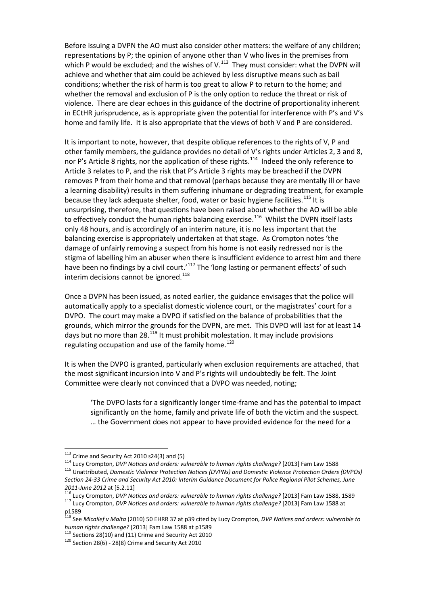Before issuing a DVPN the AO must also consider other matters: the welfare of any children; representations by P; the opinion of anyone other than V who lives in the premises from which P would be excluded; and the wishes of V. $^{113}$  $^{113}$  $^{113}$  They must consider: what the DVPN will achieve and whether that aim could be achieved by less disruptive means such as bail conditions; whether the risk of harm is too great to allow P to return to the home; and whether the removal and exclusion of P is the only option to reduce the threat or risk of violence. There are clear echoes in this guidance of the doctrine of proportionality inherent in ECtHR jurisprudence, as is appropriate given the potential for interference with P's and V's home and family life. It is also appropriate that the views of both V and P are considered.

It is important to note, however, that despite oblique references to the rights of V, P and other family members, the guidance provides no detail of V's rights under Articles 2, 3 and 8, nor P's Article 8 rights, nor the application of these rights.<sup>[114](#page-14-1)</sup> Indeed the only reference to Article 3 relates to P, and the risk that P's Article 3 rights may be breached if the DVPN removes P from their home and that removal (perhaps because they are mentally ill or have a learning disability) results in them suffering inhumane or degrading treatment, for example because they lack adequate shelter, food, water or basic hygiene facilities.<sup>[115](#page-14-2)</sup> It is unsurprising, therefore, that questions have been raised about whether the AO will be able to effectively conduct the human rights balancing exercise.<sup>[116](#page-14-3)</sup> Whilst the DVPN itself lasts only 48 hours, and is accordingly of an interim nature, it is no less important that the balancing exercise is appropriately undertaken at that stage. As Crompton notes 'the damage of unfairly removing a suspect from his home is not easily redressed nor is the stigma of labelling him an abuser when there is insufficient evidence to arrest him and there have been no findings by a civil court.<sup>'[117](#page-14-4)</sup> The 'long lasting or permanent effects' of such interim decisions cannot be ignored. $118$ 

Once a DVPN has been issued, as noted earlier, the guidance envisages that the police will automatically apply to a specialist domestic violence court, or the magistrates' court for a DVPO. The court may make a DVPO if satisfied on the balance of probabilities that the grounds, which mirror the grounds for the DVPN, are met. This DVPO will last for at least 14 days but no more than  $28.119$  $28.119$  It must prohibit molestation. It may include provisions regulating occupation and use of the family home.<sup>[120](#page-14-7)</sup>

<span id="page-15-0"></span>It is when the DVPO is granted, particularly when exclusion requirements are attached, that the most significant incursion into V and P's rights will undoubtedly be felt. The Joint Committee were clearly not convinced that a DVPO was needed, noting;

'The DVPO lasts for a significantly longer time-frame and has the potential to impact significantly on the home, family and private life of both the victim and the suspect. … the Government does not appear to have provided evidence for the need for a

<span id="page-15-4"></span><span id="page-15-3"></span><span id="page-15-2"></span><span id="page-15-1"></span>-

<span id="page-15-6"></span><span id="page-15-5"></span><sup>114</sup> Lucy Crompton, *DVP Notices and orders: vulnerable to human rights challenge?* [2013] Fam Law 1588 <sup>115</sup> Unattributed, *Domestic Violence Protection Notices (DVPNs) and Domestic Violence Protection Orders (DVPOs) Section 24-33 Crime and Security Act 2010: Interim Guidance Document for Police Regional Pilot Schemes, June 2011-June 2012* at [5.2.11]

<sup>119</sup> Sections 28(10) and (11) Crime and Security Act 2010

 $113$  Crime and Security Act 2010 s24(3) and (5)

<span id="page-15-7"></span><sup>116</sup> Lucy Crompton, *DVP Notices and orders: vulnerable to human rights challenge?* [2013] Fam Law 1588, 1589 <sup>117</sup> Lucy Crompton, *DVP Notices and orders: vulnerable to human rights challenge?* [2013] Fam Law 1588 at p1589

<span id="page-15-8"></span><sup>118</sup> See *Micallef v Malta* (2010) 50 EHRR 37 at p39 cited by Lucy Crompton, *DVP Notices and orders: vulnerable to human rights challenge?* [2013] Fam Law 1588 at p1589

<span id="page-15-9"></span> $120$  Section 28(6) - 28(8) Crime and Security Act 2010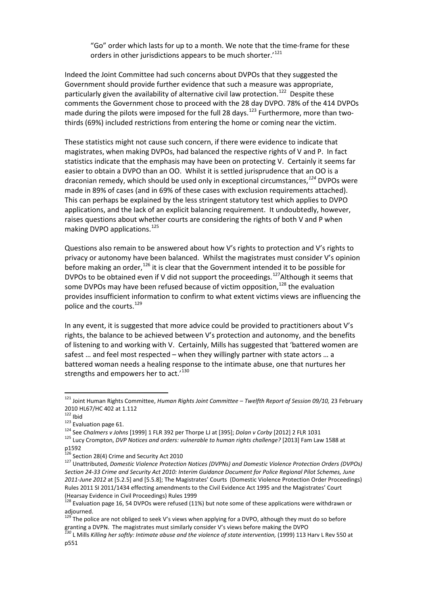"Go" order which lasts for up to a month. We note that the time-frame for these orders in other jurisdictions appears to be much shorter.<sup>[121](#page-15-0)</sup>

Indeed the Joint Committee had such concerns about DVPOs that they suggested the Government should provide further evidence that such a measure was appropriate, particularly given the availability of alternative civil law protection.<sup>[122](#page-15-1)</sup> Despite these comments the Government chose to proceed with the 28 day DVPO. 78% of the 414 DVPOs made during the pilots were imposed for the full 28 days.<sup>[123](#page-15-2)</sup> Furthermore, more than twothirds (69%) included restrictions from entering the home or coming near the victim.

These statistics might not cause such concern, if there were evidence to indicate that magistrates, when making DVPOs, had balanced the respective rights of V and P. In fact statistics indicate that the emphasis may have been on protecting V. Certainly it seems far easier to obtain a DVPO than an OO. Whilst it is settled jurisprudence that an OO is a draconian remedy, which should be used only in exceptional circumstances, *[124](#page-15-3)* DVPOs were made in 89% of cases (and in 69% of these cases with exclusion requirements attached). This can perhaps be explained by the less stringent statutory test which applies to DVPO applications, and the lack of an explicit balancing requirement. It undoubtedly, however, raises questions about whether courts are considering the rights of both V and P when making DVPO applications. [125](#page-15-4)

Questions also remain to be answered about how V's rights to protection and V's rights to privacy or autonomy have been balanced. Whilst the magistrates must consider V's opinion before making an order, $126$  it is clear that the Government intended it to be possible for DVPOs to be obtained even if V did not support the proceedings.<sup>[127](#page-15-6)</sup>Although it seems that some DVPOs may have been refused because of victim opposition,<sup>[128](#page-15-7)</sup> the evaluation provides insufficient information to confirm to what extent victims views are influencing the police and the courts.<sup>[129](#page-15-8)</sup>

In any event, it is suggested that more advice could be provided to practitioners about V's rights, the balance to be achieved between V's protection and autonomy, and the benefits of listening to and working with V. Certainly, Mills has suggested that 'battered women are safest … and feel most respected – when they willingly partner with state actors … a battered woman needs a healing response to the intimate abuse, one that nurtures her strengths and empowers her to act.'<sup>[130](#page-15-9)</sup>

<u>.</u>

<span id="page-16-0"></span><sup>125</sup> Lucy Crompton, *DVP Notices and orders: vulnerable to human rights challenge?* [2013] Fam Law 1588 at p1592

<sup>&</sup>lt;sup>121</sup> Joint Human Rights Committee, *Human Rights Joint Committee – Twelfth Report of Session 09/10, 23 February* 2010 HL67/HC 402 at 1.112

 $122$  Ibid

<sup>&</sup>lt;sup>123</sup> Evaluation page 61.

<sup>124</sup> See *Chalmers v Johns* [1999] 1 FLR 392 per Thorpe LJ at [395]; *Dolan v Corby* [2012] 2 FLR 1031

<sup>&</sup>lt;sup>126</sup> Section 28(4) Crime and Security Act 2010

<span id="page-16-1"></span><sup>127</sup> Unattributed, *Domestic Violence Protection Notices (DVPNs) and Domestic Violence Protection Orders (DVPOs) Section 24-33 Crime and Security Act 2010: Interim Guidance Document for Police Regional Pilot Schemes, June 2011-June 2012* at [5.2.5] and [5.5.8]; The Magistrates' Courts (Domestic Violence Protection Order Proceedings) Rules 2011 SI 2011/1434 effecting amendments to the Civil Evidence Act 1995 and the Magistrates' Court (Hearsay Evidence in Civil Proceedings) Rules 1999

<span id="page-16-3"></span><span id="page-16-2"></span><sup>&</sup>lt;sup>128</sup> Evaluation page 16, 54 DVPOs were refused (11%) but note some of these applications were withdrawn or adjourned.

 $129$ <sup>The</sup> police are not obliged to seek V's views when applying for a DVPO, although they must do so before granting a DVPN. The magistrates must similarly consider V's views before making the DVPO

<span id="page-16-4"></span><sup>&</sup>lt;sup>130</sup> L Mills *Killing her softly: Intimate abuse and the violence of state intervention, (1999) 113 Harv L Rev 550 at* p551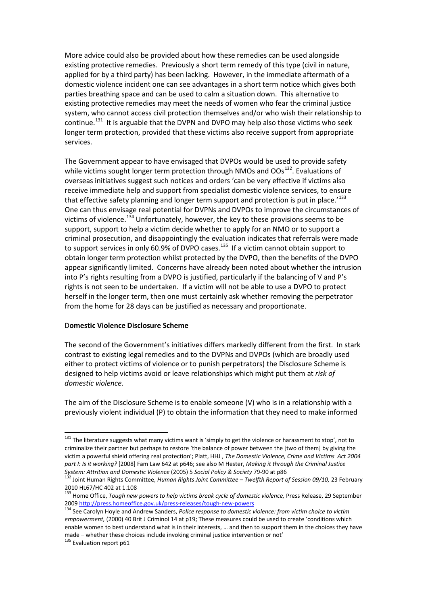More advice could also be provided about how these remedies can be used alongside existing protective remedies. Previously a short term remedy of this type (civil in nature, applied for by a third party) has been lacking. However, in the immediate aftermath of a domestic violence incident one can see advantages in a short term notice which gives both parties breathing space and can be used to calm a situation down. This alternative to existing protective remedies may meet the needs of women who fear the criminal justice system, who cannot access civil protection themselves and/or who wish their relationship to continue.<sup>[131](#page-16-0)</sup> It is arguable that the DVPN and DVPO may help also those victims who seek longer term protection, provided that these victims also receive support from appropriate services.

The Government appear to have envisaged that DVPOs would be used to provide safety while victims sought longer term protection through NMOs and  $OOS^{132}$  $OOS^{132}$  $OOS^{132}$ . Evaluations of overseas initiatives suggest such notices and orders 'can be very effective if victims also receive immediate help and support from specialist domestic violence services, to ensure that effective safety planning and longer term support and protection is put in place.<sup>'[133](#page-16-2)</sup> One can thus envisage real potential for DVPNs and DVPOs to improve the circumstances of victims of violence.<sup>[134](#page-16-3)</sup> Unfortunately, however, the key to these provisions seems to be support, support to help a victim decide whether to apply for an NMO or to support a criminal prosecution, and disappointingly the evaluation indicates that referrals were made to support services in only 60.9% of DVPO cases.<sup>[135](#page-16-4)</sup> If a victim cannot obtain support to obtain longer term protection whilst protected by the DVPO, then the benefits of the DVPO appear significantly limited. Concerns have already been noted about whether the intrusion into P's rights resulting from a DVPO is justified, particularly if the balancing of V and P's rights is not seen to be undertaken. If a victim will not be able to use a DVPO to protect herself in the longer term, then one must certainly ask whether removing the perpetrator from the home for 28 days can be justified as necessary and proportionate.

## D**omestic Violence Disclosure Scheme**

The second of the Government's initiatives differs markedly different from the first. In stark contrast to existing legal remedies and to the DVPNs and DVPOs (which are broadly used either to protect victims of violence or to punish perpetrators) the Disclosure Scheme is designed to help victims avoid or leave relationships which might put them at *risk of domestic violence*.

The aim of the Disclosure Scheme is to enable someone (V) who is in a relationship with a previously violent individual (P) to obtain the information that they need to make informed

 $131$  The literature suggests what many victims want is 'simply to get the violence or harassment to stop', not to criminalize their partner but perhaps to restore 'the balance of power between the [two of them] by giving the victim a powerful shield offering real protection'; Platt, HHJ , *The Domestic Violence, Crime and Victims Act 2004 part I: Is it working?* [2008] Fam Law 642 at p646; see also M Hester, *Making it through the Criminal Justice System: Attrition and Domestic Violence* (2005) 5 *Social Policy & Society* 79-90 at p86

<sup>&</sup>lt;sup>132</sup> Joint Human Rights Committee, *Human Rights Joint Committee – Twelfth Report of Session 09/10, 23 February* 2010 HL67/HC 402 at 1.108

<sup>133</sup> Home Office, *Tough new powers to help victims break cycle of domestic violence,* Press Release, 29 September 200[9 http://press.homeoffice.gov.uk/press-releases/tough-new-powers](http://press.homeoffice.gov.uk/press-releases/tough-new-powers)

<span id="page-17-1"></span><span id="page-17-0"></span><sup>134</sup> See Carolyn Hoyle and Andrew Sanders, *Police response to domestic violence: from victim choice to victim empowerment,* (2000) 40 Brit J Criminol 14 at p19; These measures could be used to create 'conditions which enable women to best understand what is in their interests, … and then to support them in the choices they have made – whether these choices include invoking criminal justice intervention or not'

<span id="page-17-3"></span><span id="page-17-2"></span><sup>135</sup> Evaluation report p61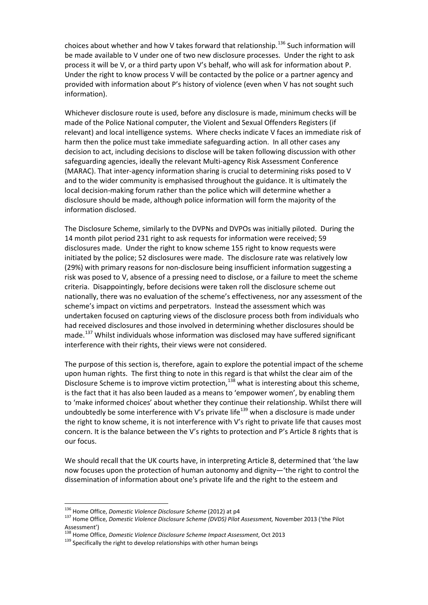choices about whether and how V takes forward that relationship.[136](#page-17-0) Such information will be made available to V under one of two new disclosure processes. Under the right to ask process it will be V, or a third party upon V's behalf, who will ask for information about P. Under the right to know process V will be contacted by the police or a partner agency and provided with information about P's history of violence (even when V has not sought such information).

Whichever disclosure route is used, before any disclosure is made, minimum checks will be made of the Police National computer, the Violent and Sexual Offenders Registers (if relevant) and local intelligence systems. Where checks indicate V faces an immediate risk of harm then the police must take immediate safeguarding action. In all other cases any decision to act, including decisions to disclose will be taken following discussion with other safeguarding agencies, ideally the relevant Multi-agency Risk Assessment Conference (MARAC). That inter-agency information sharing is crucial to determining risks posed to V and to the wider community is emphasised throughout the guidance. It is ultimately the local decision-making forum rather than the police which will determine whether a disclosure should be made, although police information will form the majority of the information disclosed.

The Disclosure Scheme, similarly to the DVPNs and DVPOs was initially piloted. During the 14 month pilot period 231 right to ask requests for information were received; 59 disclosures made. Under the right to know scheme 155 right to know requests were initiated by the police; 52 disclosures were made. The disclosure rate was relatively low (29%) with primary reasons for non-disclosure being insufficient information suggesting a risk was posed to V, absence of a pressing need to disclose, or a failure to meet the scheme criteria. Disappointingly, before decisions were taken roll the disclosure scheme out nationally, there was no evaluation of the scheme's effectiveness, nor any assessment of the scheme's impact on victims and perpetrators. Instead the assessment which was undertaken focused on capturing views of the disclosure process both from individuals who had received disclosures and those involved in determining whether disclosures should be made. [137](#page-17-1) Whilst individuals whose information was disclosed may have suffered significant interference with their rights, their views were not considered.

The purpose of this section is, therefore, again to explore the potential impact of the scheme upon human rights. The first thing to note in this regard is that whilst the clear aim of the Disclosure Scheme is to improve victim protection, <sup>[138](#page-17-2)</sup> what is interesting about this scheme, is the fact that it has also been lauded as a means to 'empower women', by enabling them to 'make informed choices' about whether they continue their relationship. Whilst there will undoubtedly be some interference with V's private life<sup>[139](#page-17-3)</sup> when a disclosure is made under the right to know scheme, it is not interference with V's right to private life that causes most concern. It is the balance between the V's rights to protection and P's Article 8 rights that is our focus.

<span id="page-18-1"></span><span id="page-18-0"></span>We should recall that the UK courts have, in interpreting Article 8, determined that 'the law now focuses upon the protection of human autonomy and dignity—'the right to control the dissemination of information about one's private life and the right to the esteem and

<span id="page-18-4"></span><span id="page-18-3"></span><span id="page-18-2"></span><sup>136</sup> Home Office, *Domestic Violence Disclosure Scheme* (2012) at p4

<span id="page-18-5"></span><sup>137</sup> Home Office, *Domestic Violence Disclosure Scheme (DVDS) Pilot Assessment,* November 2013 ('the Pilot Assessment')

<sup>138</sup> Home Office, *Domestic Violence Disclosure Scheme Impact Assessment*, Oct 2013

<span id="page-18-6"></span><sup>139</sup> Specifically the right to develop relationships with other human beings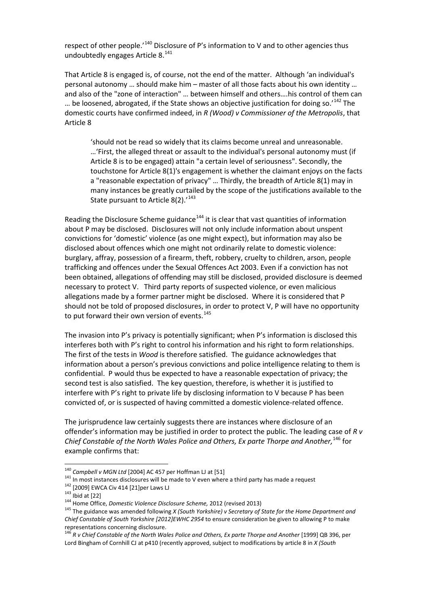respect of other people.'[140](#page-18-0) Disclosure of P's information to V and to other agencies thus undoubtedly engages Article 8. $^{141}$  $^{141}$  $^{141}$ 

That Article 8 is engaged is, of course, not the end of the matter. Although 'an individual's personal autonomy … should make him – master of all those facts about his own identity … and also of the "zone of interaction" … between himself and others….his control of them can ... be loosened, abrogated, if the State shows an objective justification for doing so.'<sup>[142](#page-18-2)</sup> The domestic courts have confirmed indeed, in *R (Wood) v Commissioner of the Metropolis*, that Article 8

'should not be read so widely that its claims become unreal and unreasonable. …'First, the alleged threat or assault to the individual's personal autonomy must (if Article 8 is to be engaged) attain "a certain level of seriousness". Secondly, the touchstone for Article 8(1)'s engagement is whether the claimant enjoys on the facts a "reasonable expectation of privacy" … Thirdly, the breadth of Article 8(1) may in many instances be greatly curtailed by the scope of the justifications available to the State pursuant to Article 8(2).<sup>'[143](#page-18-3)</sup>

Reading the Disclosure Scheme guidance<sup>[144](#page-18-4)</sup> it is clear that vast quantities of information about P may be disclosed. Disclosures will not only include information about unspent convictions for 'domestic' violence (as one might expect), but information may also be disclosed about offences which one might not ordinarily relate to domestic violence: burglary, affray, possession of a firearm, theft, robbery, cruelty to children, arson, people trafficking and offences under the Sexual Offences Act 2003. Even if a conviction has not been obtained, allegations of offending may still be disclosed, provided disclosure is deemed necessary to protect V. Third party reports of suspected violence, or even malicious allegations made by a former partner might be disclosed. Where it is considered that P should not be told of proposed disclosures, in order to protect V, P will have no opportunity to put forward their own version of events.<sup>[145](#page-18-5)</sup>

The invasion into P's privacy is potentially significant; when P's information is disclosed this interferes both with P's right to control his information and his right to form relationships. The first of the tests in *Wood* is therefore satisfied. The guidance acknowledges that information about a person's previous convictions and police intelligence relating to them is confidential. P would thus be expected to have a reasonable expectation of privacy; the second test is also satisfied. The key question, therefore, is whether it is justified to interfere with P's right to private life by disclosing information to V because P has been convicted of, or is suspected of having committed a domestic violence-related offence.

The jurisprudence law certainly suggests there are instances where disclosure of an offender's information may be justified in order to protect the public. The leading case of *R v Chief Constable of the North Wales Police and Others, Ex parte Thorpe and Another,* [146](#page-18-6) for example confirms that:

<sup>142</sup> [2009] EWCA Civ 414 [21]per Laws LJ

<u>.</u>

<span id="page-19-0"></span><sup>140</sup> *Campbell v MGN Ltd* [2004] AC 457 per Hoffman LJ at [51]

 $141$  In most instances disclosures will be made to V even where a third party has made a request

 $143$  Ibid at [22]

<span id="page-19-1"></span><sup>144</sup> Home Office, *Domestic Violence Disclosure Scheme,* 2012 (revised 2013)

<span id="page-19-3"></span><span id="page-19-2"></span><sup>145</sup> The guidance was amended following *X (South Yorkshire) v Secretary of State for the Home Department and Chief Constable of South Yorkshire [2012]EWHC 2954* to ensure consideration be given to allowing P to make representations concerning disclosure.

<span id="page-19-5"></span><span id="page-19-4"></span><sup>&</sup>lt;sup>146</sup> R v Chief Constable of the North Wales Police and Others, Ex parte Thorpe and Another [1999] QB 396, per Lord Bingham of Cornhill CJ at p410 (recently approved, subject to modifications by article 8 in *X (South*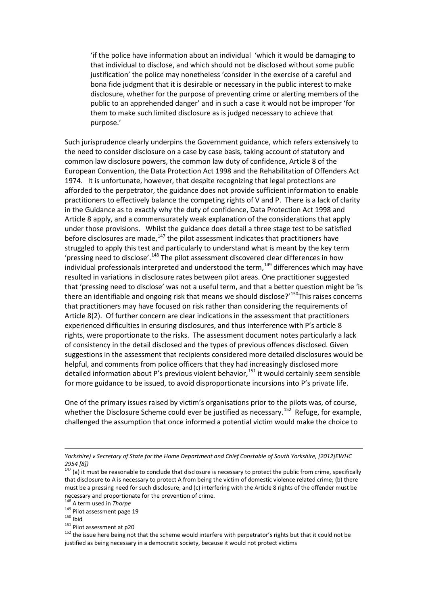'if the police have information about an individual 'which it would be damaging to that individual to disclose, and which should not be disclosed without some public justification' the police may nonetheless 'consider in the exercise of a careful and bona fide judgment that it is desirable or necessary in the public interest to make disclosure, whether for the purpose of preventing crime or alerting members of the public to an apprehended danger' and in such a case it would not be improper 'for them to make such limited disclosure as is judged necessary to achieve that purpose.'

Such jurisprudence clearly underpins the Government guidance, which refers extensively to the need to consider disclosure on a case by case basis, taking account of statutory and common law disclosure powers, the common law duty of confidence, Article 8 of the European Convention, the Data Protection Act 1998 and the Rehabilitation of Offenders Act 1974. It is unfortunate, however, that despite recognizing that legal protections are afforded to the perpetrator, the guidance does not provide sufficient information to enable practitioners to effectively balance the competing rights of V and P. There is a lack of clarity in the Guidance as to exactly why the duty of confidence, Data Protection Act 1998 and Article 8 apply, and a commensurately weak explanation of the considerations that apply under those provisions. Whilst the guidance does detail a three stage test to be satisfied before disclosures are made, $147$  the pilot assessment indicates that practitioners have struggled to apply this test and particularly to understand what is meant by the key term 'pressing need to disclose'.<sup>[148](#page-19-1)</sup> The pilot assessment discovered clear differences in how individual professionals interpreted and understood the term, $149$  differences which may have resulted in variations in disclosure rates between pilot areas. One practitioner suggested that 'pressing need to disclose' was not a useful term, and that a better question might be 'is there an identifiable and ongoing risk that means we should disclose?<sup>'[150](#page-19-3)</sup>This raises concerns that practitioners may have focused on risk rather than considering the requirements of Article 8(2). Of further concern are clear indications in the assessment that practitioners experienced difficulties in ensuring disclosures, and thus interference with P's article 8 rights, were proportionate to the risks. The assessment document notes particularly a lack of consistency in the detail disclosed and the types of previous offences disclosed. Given suggestions in the assessment that recipients considered more detailed disclosures would be helpful, and comments from police officers that they had increasingly disclosed more detailed information about P's previous violent behavior,<sup>[151](#page-19-4)</sup> it would certainly seem sensible for more guidance to be issued, to avoid disproportionate incursions into P's private life.

One of the primary issues raised by victim's organisations prior to the pilots was, of course, whether the Disclosure Scheme could ever be justified as necessary.<sup>[152](#page-19-5)</sup> Refuge, for example, challenged the assumption that once informed a potential victim would make the choice to

<span id="page-20-0"></span>*Yorkshire) v Secretary of State for the Home Department and Chief Constable of South Yorkshire, [2012]EWHC 2954 [8])*

<span id="page-20-1"></span><sup>147 (</sup>a) it must be reasonable to conclude that disclosure is necessary to protect the public from crime, specifically that disclosure to A is necessary to protect A from being the victim of domestic violence related crime; (b) there must be a pressing need for such disclosure; and (c) interfering with the Article 8 rights of the offender must be necessary and proportionate for the prevention of crime.

<span id="page-20-2"></span><sup>148</sup> A term used in *Thorpe*

<span id="page-20-3"></span><sup>149</sup> Pilot assessment page 19

<span id="page-20-4"></span> $150$  Ibid

<sup>&</sup>lt;sup>151</sup> Pilot assessment at p20

<span id="page-20-5"></span><sup>&</sup>lt;sup>152</sup> the issue here being not that the scheme would interfere with perpetrator's rights but that it could not be justified as being necessary in a democratic society, because it would not protect victims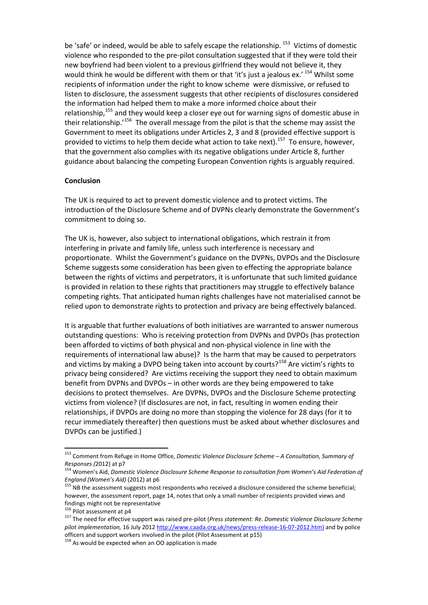be 'safe' or indeed, would be able to safely escape the relationship. <sup>[153](#page-20-0)</sup> Victims of domestic violence who responded to the pre-pilot consultation suggested that if they were told their new boyfriend had been violent to a previous girlfriend they would not believe it, they would think he would be different with them or that 'it's just a jealous ex.' <sup>[154](#page-20-1)</sup> Whilst some recipients of information under the right to know scheme were dismissive, or refused to listen to disclosure, the assessment suggests that other recipients of disclosures considered the information had helped them to make a more informed choice about their relationship,<sup>[155](#page-20-2)</sup> and they would keep a closer eye out for warning signs of domestic abuse in their relationship.<sup>'[156](#page-20-3)</sup> The overall message from the pilot is that the scheme may assist the Government to meet its obligations under Articles 2, 3 and 8 (provided effective support is provided to victims to help them decide what action to take next).<sup>[157](#page-20-4)</sup> To ensure, however, that the government also complies with its negative obligations under Article 8, further guidance about balancing the competing European Convention rights is arguably required.

#### **Conclusion**

The UK is required to act to prevent domestic violence and to protect victims. The introduction of the Disclosure Scheme and of DVPNs clearly demonstrate the Government's commitment to doing so.

The UK is, however, also subject to international obligations, which restrain it from interfering in private and family life, unless such interference is necessary and proportionate. Whilst the Government's guidance on the DVPNs, DVPOs and the Disclosure Scheme suggests some consideration has been given to effecting the appropriate balance between the rights of victims and perpetrators, it is unfortunate that such limited guidance is provided in relation to these rights that practitioners may struggle to effectively balance competing rights. That anticipated human rights challenges have not materialised cannot be relied upon to demonstrate rights to protection and privacy are being effectively balanced.

It is arguable that further evaluations of both initiatives are warranted to answer numerous outstanding questions: Who is receiving protection from DVPNs and DVPOs (has protection been afforded to victims of both physical and non-physical violence in line with the requirements of international law abuse)? Is the harm that may be caused to perpetrators and victims by making a DVPO being taken into account by courts?<sup>[158](#page-20-5)</sup> Are victim's rights to privacy being considered? Are victims receiving the support they need to obtain maximum benefit from DVPNs and DVPOs – in other words are they being empowered to take decisions to protect themselves. Are DVPNs, DVPOs and the Disclosure Scheme protecting victims from violence? (If disclosures are not, in fact, resulting in women ending their relationships, if DVPOs are doing no more than stopping the violence for 28 days (for it to recur immediately thereafter) then questions must be asked about whether disclosures and DVPOs can be justified.)

<sup>153</sup> Comment from Refuge in Home Office, *Domestic Violence Disclosure Scheme – A Consultation, Summary of Responses (*2012) at p7

<sup>154</sup> Women's Aid, *Domestic Violence Disclosure Scheme Response to consultation from Women's Aid Federation of England (Women's Aid)* (2012) at p6

<sup>&</sup>lt;sup>155</sup> NB the assessment suggests most respondents who received a disclosure considered the scheme beneficial; however, the assessment report, page 14, notes that only a small number of recipients provided views and findings might not be representative

<sup>156</sup> Pilot assessment at p4

<sup>157</sup> The need for effective support was raised pre-pilot (*Press statement: Re. Domestic Violence Disclosure Scheme pilot implementation,* 16 July 201[2 http://www.caada.org.uk/news/press-release-16-07-2012.htm\)](http://www.caada.org.uk/news/press-release-16-07-2012.htm) and by police officers and support workers involved in the pilot (Pilot Assessment at p15)

<sup>&</sup>lt;sup>158</sup> As would be expected when an OO application is made